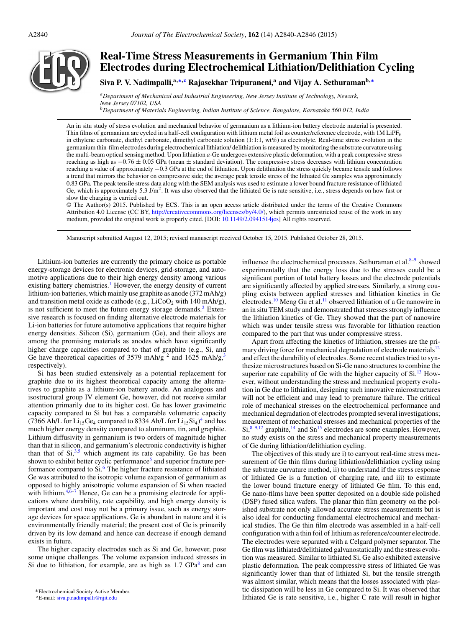

# **Real-Time Stress Measurements in Germanium Thin Film Electrodes during Electrochemical Lithiation/Delithiation Cycling**

Siva P. V. Nadimpalli,<sup>a,[∗](#page-0-0)[,z](#page-0-1)</sup> Rajasekhar Tripuraneni,<sup>a</sup> and Vijay A. Sethuraman<sup>b,∗</sup>

*aDepartment of Mechanical and Industrial Engineering, New Jersey Institute of Technology, Newark, New Jersey 07102, USA bDepartment of Materials Engineering, Indian Institute of Science, Bangalore, Karnataka 560 012, India*

An in situ study of stress evolution and mechanical behavior of germanium as a lithium-ion battery electrode material is presented. Thin films of germanium are cycled in a half-cell configuration with lithium metal foil as counter/reference electrode, with  $1M LipF_6$ in ethylene carbonate, diethyl carbonate, dimethyl carbonate solution (1:1:1, wt%) as electrolyte. Real-time stress evolution in the germanium thin-film electrodes during electrochemical lithiation/ delithiation is measured by monitoring the substrate curvature using the multi-beam optical sensing method. Upon lithiation *a*-Ge undergoes extensive plastic deformation, with a peak compressive stress reaching as high as −0.76 ± 0.05 GPa (mean ± standard deviation). The compressive stress decreases with lithium concentration reaching a value of approximately −0.3 GPa at the end of lithiation. Upon delithiation the stress quickly became tensile and follows a trend that mirrors the behavior on compressive side; the average peak tensile stress of the lithiated Ge samples was approximately 0.83 GPa. The peak tensile stress data along with the SEM analysis was used to estimate a lower bound fracture resistance of lithiated Ge, which is approximately  $5.3$  J/m<sup>2</sup>. It was also observed that the lithiated Ge is rate sensitive, i.e., stress depends on how fast or slow the charging is carried out.

© The Author(s) 2015. Published by ECS. This is an open access article distributed under the terms of the Creative Commons Attribution 4.0 License (CC BY, [http://creativecommons.org/licenses/by/4.0/\)](http://creativecommons.org/licenses/by/4.0/), which permits unrestricted reuse of the work in any medium, provided the original work is properly cited. [DOI: [10.1149/2.0941514jes\]](http://dx.doi.org/10.1149/2.0941514jes) All rights reserved.

Manuscript submitted August 12, 2015; revised manuscript received October 15, 2015. Published October 28, 2015.

Lithium-ion batteries are currently the primary choice as portable energy-storage devices for electronic devices, grid-storage, and automotive applications due to their high energy density among various existing battery chemistries.<sup>1</sup> However, the energy density of current lithium-ion batteries, which mainly use graphite as anode (372 mAh/g) and transition metal oxide as cathode (e.g.,  $LiCoO<sub>2</sub>$  with 140 mAh/g), is not sufficient to meet the future energy storage demands. $<sup>2</sup>$  $<sup>2</sup>$  $<sup>2</sup>$  Exten-</sup> sive research is focused on finding alternative electrode materials for Li-ion batteries for future automotive applications that require higher energy densities. Silicon (Si), germanium (Ge), and their alloys are among the promising materials as anodes which have significantly higher charge capacities compared to that of graphite (e.g., Si, and Ge have theoretical capacities of 3579 mAh/g  $^2$  and 1625 mAh/g,<sup>3</sup> respectively).

Si has been studied extensively as a potential replacement for graphite due to its highest theoretical capacity among the alternatives to graphite as a lithium-ion battery anode. An analogous and isostructural group IV element Ge, however, did not receive similar attention primarily due to its higher cost. Ge has lower gravimetric capacity compared to Si but has a comparable volumetric capacity (7366 Ah/L for  $Li_{15}Ge_4$  $Li_{15}Ge_4$  compared to 8334 Ah/L for  $Li_{15}Si_4$ )<sup>4</sup> and has much higher energy density compared to aluminum, tin, and graphite. Lithium diffusivity in germanium is two orders of magnitude higher than that in silicon, and germanium's electronic conductivity is higher than that of  $Si$ ,<sup>3,[5](#page-6-4)</sup> which augment its rate capability. Ge has been shown to exhibit better cyclic performance<sup>5</sup> and superior fracture performance compared to Si.<sup>6</sup> The higher fracture resistance of lithiated Ge was attributed to the isotropic volume expansion of germanium as opposed to highly anisotropic volume expansion of Si when reacted with lithium.<sup>4,[6](#page-6-5)[–7](#page-6-6)</sup> Hence, Ge can be a promising electrode for applications where durability, rate capability, and high energy density is important and cost may not be a primary issue, such as energy storage devices for space applications. Ge is abundant in nature and it is environmentally friendly material; the present cost of Ge is primarily driven by its low demand and hence can decrease if enough demand exists in future.

The higher capacity electrodes such as Si and Ge, however, pose some unique challenges. The volume expansion induced stresses in Si due to lithiation, for example, are as high as  $1.7 \text{ GPa}^8$  $1.7 \text{ GPa}^8$  and can

influence the electrochemical processes. Sethuraman et al. $8-9$  showed experimentally that the energy loss due to the stresses could be a significant portion of total battery losses and the electrode potentials are significantly affected by applied stresses. Similarly, a strong coupling exists between applied stresses and lithiation kinetics in Ge electrodes.<sup>10</sup> Meng Gu et al.<sup>[11](#page-6-10)</sup> observed lithiation of a Ge nanowire in an in situ TEM study and demonstrated that stresses strongly influence the lithiation kinetics of Ge. They showed that the part of nanowire which was under tensile stress was favorable for lithiation reaction compared to the part that was under compressive stress.

Apart from affecting the kinetics of lithiation, stresses are the primary driving force for mechanical degradation of electrode materials<sup>12</sup> and effect the durability of electrodes. Some recent studies tried to synthesize microstructures based on Si-Ge nano structures to combine the superior rate capability of Ge with the higher capacity of  $Si^{13}$  $Si^{13}$  $Si^{13}$  However, without understanding the stress and mechanical property evolution in Ge due to lithiation, designing such innovative microstructures will not be efficient and may lead to premature failure. The critical role of mechanical stresses on the electrochemical performance and mechanical degradation of electrodes prompted several investigations; measurement of mechanical stresses and mechanical properties of the  $Si$ ,<sup>8–[9,](#page-6-8)[12](#page-6-11)</sup> graphite,<sup>14</sup> and  $Sn$ <sup>[15](#page-6-14)</sup> electrodes are some examples. However, no study exists on the stress and mechanical property measurements of Ge during lithiation/delithiation cycling.

The objectives of this study are i) to carryout real-time stress measurement of Ge thin films during lithiation/delithiation cycling using the substrate curvature method, ii) to understand if the stress response of lithiated Ge is a function of charging rate, and iii) to estimate the lower bound fracture energy of lithiated Ge film. To this end, Ge nano-films have been sputter deposited on a double side polished (DSP) fused silica wafers. The planar thin film geometry on the polished substrate not only allowed accurate stress measurements but is also ideal for conducting fundamental electrochemical and mechanical studies. The Ge thin film electrode was assembled in a half-cell configuration with a thin foil of lithium as reference/counter electrode. The electrodes were separated with a Celgard polymer separator. The Ge film was lithiated/delithiated galvanostatically and the stress evolution was measured. Similar to lithiated Si, Ge also exhibited extensive plastic deformation. The peak compressive stress of lithiated Ge was significantly lower than that of lithiated Si, but the tensile strength was almost similar, which means that the losses associated with plastic dissipation will be less in Ge compared to Si. It was observed that lithiated Ge is rate sensitive, i.e., higher C rate will result in higher

<span id="page-0-1"></span><span id="page-0-0"></span><sup>∗</sup>Electrochemical Society Active Member.

zE-mail: [siva.p.nadimpalli@njit.edu](mailto:siva.p.nadimpalli@njit.edu)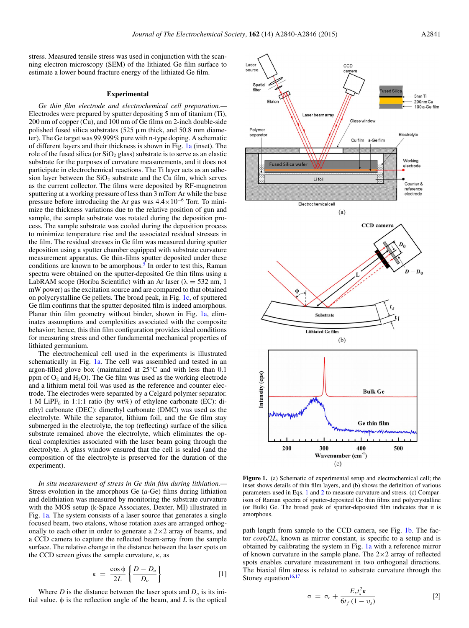stress. Measured tensile stress was used in conjunction with the scanning electron microscopy (SEM) of the lithiated Ge film surface to estimate a lower bound fracture energy of the lithiated Ge film.

#### **Experimental**

*Ge thin film electrode and electrochemical cell preparation.—* Electrodes were prepared by sputter depositing 5 nm of titanium (Ti), 200 nm of copper (Cu), and 100 nm of Ge films on 2-inch double-side polished fused silica substrates ( $525 \mu m$  thick, and  $50.8 \mu m$  diameter). The Ge target was 99.999% pure with n-type doping. A schematic of different layers and their thickness is shown in Fig. [1a](#page-1-0) (inset). The role of the fused silica (or  $SiO<sub>2</sub>$  glass) substrate is to serve as an elastic substrate for the purposes of curvature measurements, and it does not participate in electrochemical reactions. The Ti layer acts as an adhesion layer between the  $SiO<sub>2</sub>$  substrate and the Cu film, which serves as the current collector. The films were deposited by RF-magnetron sputtering at a working pressure of less than 3 mTorr Ar while the base pressure before introducing the Ar gas was 4.4×10−<sup>6</sup> Torr. To minimize the thickness variations due to the relative position of gun and sample, the sample substrate was rotated during the deposition process. The sample substrate was cooled during the deposition process to minimize temperature rise and the associated residual stresses in the film. The residual stresses in Ge film was measured during sputter deposition using a sputter chamber equipped with substrate curvature measurement apparatus. Ge thin-films sputter deposited under these conditions are known to be amorphous.<sup>5</sup> In order to test this, Raman spectra were obtained on the sputter-deposited Ge thin films using a LabRAM scope (Horiba Scientific) with an Ar laser ( $\lambda = 532$  nm, 1 mW power) as the excitation source and are compared to that obtained on polycrystalline Ge pellets. The broad peak, in Fig. [1c,](#page-1-0) of sputtered Ge film confirms that the sputter deposited film is indeed amorphous. Planar thin film geometry without binder, shown in Fig. [1a,](#page-1-0) eliminates assumptions and complexities associated with the composite behavior; hence, this thin film configuration provides ideal conditions for measuring stress and other fundamental mechanical properties of lithiated germanium.

The electrochemical cell used in the experiments is illustrated schematically in Fig. [1a.](#page-1-0) The cell was assembled and tested in an argon-filled glove box (maintained at 25◦C and with less than 0.1 ppm of  $O_2$  and  $H_2O$ ). The Ge film was used as the working electrode and a lithium metal foil was used as the reference and counter electrode. The electrodes were separated by a Celgard polymer separator. 1 M LiPF<sub>6</sub> in 1:1:1 ratio (by wt%) of ethylene carbonate (EC): diethyl carbonate (DEC): dimethyl carbonate (DMC) was used as the electrolyte. While the separator, lithium foil, and the Ge film stay submerged in the electrolyte, the top (reflecting) surface of the silica substrate remained above the electrolyte, which eliminates the optical complexities associated with the laser beam going through the electrolyte. A glass window ensured that the cell is sealed (and the composition of the electrolyte is preserved for the duration of the experiment).

*In situ measurement of stress in Ge thin film during lithiation.—* Stress evolution in the amorphous Ge (*a*-Ge) films during lithiation and delithiation was measured by monitoring the substrate curvature with the MOS setup (k-Space Associates, Dexter, MI) illustrated in Fig. [1a.](#page-1-0) The system consists of a laser source that generates a single focused beam, two etalons, whose rotation axes are arranged orthogonally to each other in order to generate a  $2\times 2$  array of beams, and a CCD camera to capture the reflected beam-array from the sample surface. The relative change in the distance between the laser spots on the CCD screen gives the sample curvature, κ, as

<span id="page-1-1"></span>
$$
\kappa = \frac{\cos \phi}{2L} \left\{ \frac{D - D_o}{D_o} \right\} \tag{1}
$$

Where *D* is the distance between the laser spots and  $D<sub>o</sub>$  is its initial value.  $\phi$  is the reflection angle of the beam, and *L* is the optical

<span id="page-1-0"></span>

**Figure 1.** (a) Schematic of experimental setup and electrochemical cell; the inset shows details of thin film layers, and (b) shows the definition of various parameters used in Eqs. [1](#page-1-1) and [2](#page-1-2) to measure curvature and stress. (c) Comparison of Raman spectra of sputter-deposited Ge thin films and polycrystalline (or Bulk) Ge. The broad peak of sputter-deposited film indicates that it is amorphous.

path length from sample to the CCD camera, see Fig. [1b.](#page-1-0) The factor *cos*φ/2*L*, known as mirror constant, is specific to a setup and is obtained by calibrating the system in Fig. [1a](#page-1-0) with a reference mirror of known curvature in the sample plane. The  $2\times 2$  array of reflected spots enables curvature measurement in two orthogonal directions. The biaxial film stress is related to substrate curvature through the Stoney equation $16,17$  $16,17$ 

<span id="page-1-2"></span>
$$
\sigma = \sigma_r + \frac{E_s t_s^2 \kappa}{6t_f (1 - v_s)}
$$
 [2]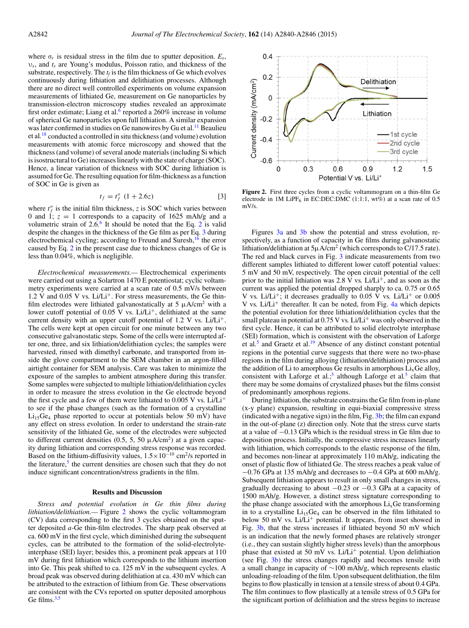where  $\sigma_r$  is residual stress in the film due to sputter deposition.  $E_s$ , υ*s*, and *ts* are Young's modulus, Poisson ratio, and thickness of the substrate, respectively. The  $t_f$  is the film thickness of Ge which evolves continuously during lithiation and delithiation processes. Although there are no direct well controlled experiments on volume expansion measurements of lithiated Ge, measurement on Ge nanoparticles by transmission-electron microscopy studies revealed an approximate first order estimate; Liang et al.<sup>6</sup> reported a 260% increase in volume of spherical Ge nanoparticles upon full lithiation. A similar expansion was later confirmed in studies on Ge nanowires by Gu et al.<sup>11</sup> Beaulieu et al*.* [18](#page-6-17) conducted a controlled in situ thickness (and volume) evolution measurements with atomic force microscopy and showed that the thickness (and volume) of several anode materials (including Si which is isostructural to Ge) increases linearly with the state of charge (SOC). Hence, a linear variation of thickness with SOC during lithiation is assumed for Ge. The resulting equation for film-thickness as a function of SOC in Ge is given as

<span id="page-2-0"></span>
$$
t_f = t_f^o \ (1 + 2.6z)
$$
 [3]

where  $t_f^o$  is the initial film thickness, *z* is SOC which varies between 0 and 1;  $z = 1$  corresponds to a capacity of 1625 mAh/g and a volumetric strain of  $2.6<sup>6</sup>$  $2.6<sup>6</sup>$  $2.6<sup>6</sup>$  It should be noted that the Eq. [2](#page-1-2) is valid despite the changes in the thickness of the Ge film as per Eq. [3](#page-2-0) during electrochemical cycling; according to Freund and Suresh,<sup>16</sup> the error caused by Eq. [2](#page-1-2) in the present case due to thickness changes of Ge is less than 0.04%, which is negligible.

*Electrochemical measurements.—* Electrochemical experiments were carried out using a Solartron 1470 E potentiostat; cyclic voltammetry experiments were carried at a scan rate of 0.5 mV/s between 1.2 V and 0.05 V vs. Li/Li<sup>+</sup>. For stress measurements, the Ge thinfilm electrodes were lithiated galvanostatically at  $5 \mu A/cm^2$  with a lower cutoff potential of  $0.05$  V vs. Li/Li<sup>+</sup>, delithiated at the same current density with an upper cutoff potential of  $1.2$  V vs. Li/Li<sup>+</sup>. The cells were kept at open circuit for one minute between any two consecutive galvanostatic steps. Some of the cells were interrupted after one, three, and six lithiation/delithiation cycles; the samples were harvested, rinsed with dimethyl carbonate, and transported from inside the glove compartment to the SEM chamber in an argon-filled airtight container for SEM analysis. Care was taken to minimize the exposure of the samples to ambient atmosphere during this transfer. Some samples were subjected to multiple lithiation/delithiation cycles in order to measure the stress evolution in the Ge electrode beyond the first cycle and a few of them were lithiated to 0.005 V vs*.* Li/Li<sup>+</sup> to see if the phase changes (such as the formation of a crystalline  $Li<sub>15</sub>Ge<sub>4</sub>$  phase reported to occur at potentials below 50 mV) have any effect on stress evolution. In order to understand the strain-rate sensitivity of the lithiated Ge, some of the electrodes were subjected to different current densities (0.5, 5, 50  $\mu$ A/cm<sup>2</sup>) at a given capacity during lithiation and corresponding stress response was recorded. Based on the lithium-diffusivity values,  $1.5 \times 10^{-10}$  cm<sup>2</sup>/s reported in the literature, $5$  the current densities are chosen such that they do not induce significant concentration/stress gradients in the film.

### **Results and Discussion**

*Stress and potential evolution in Ge thin films during lithiation/delithiation.—* Figure [2](#page-2-1) shows the cyclic voltammogram (CV) data corresponding to the first 3 cycles obtained on the sputter deposited *a-*Ge thin-film electrodes. The sharp peak observed at ca. 600 mV in the first cycle, which diminished during the subsequent cycles, can be attributed to the formation of the solid-electrolyteinterphase (SEI) layer; besides this, a prominent peak appears at 110 mV during first lithiation which corresponds to the lithium insertion into Ge. This peak shifted to ca.  $125 \text{ mV}$  in the subsequent cycles. A broad peak was observed during delithiation at ca. 430 mV which can be attributed to the extraction of lithium from Ge. These observations are consistent with the CVs reported on sputter deposited amorphous Ge films. $3,5$  $3,5$ 

<span id="page-2-1"></span>

**Figure 2.** First three cycles from a cyclic voltammogram on a thin-film Ge electrode in 1M LiPF<sub>6</sub> in EC:DEC:DMC  $(1:1:1, wt\%)$  at a scan rate of 0.5 mV/s.

Figures [3a](#page-3-0) and [3b](#page-3-0) show the potential and stress evolution, respectively, as a function of capacity in Ge films during galvanostatic lithiation/delithiation at  $5 \mu A/cm^2$  (which corresponds to C/17.5 rate). The red and black curves in Fig. [3](#page-3-0) indicate measurements from two different samples lithiated to different lower cutoff potential values: 5 mV and 50 mV, respectively. The open circuit potential of the cell prior to the initial lithiation was  $2.8 \text{ V}$  vs. Li/Li<sup>+</sup>, and as soon as the current was applied the potential dropped sharply to ca. 0.75 or 0.65 V vs. Li/Li<sup>+</sup>; it decreases gradually to  $0.05$  V vs. Li/Li<sup>+</sup> or  $0.005$ V vs. Li/Li<sup>+</sup> thereafter. It can be noted, from Fig. [4a](#page-4-0) which depicts the potential evolution for three lithiation/delithiation cycles that the small plateau in potential at 0.75 V vs. Li/Li<sup>+</sup> was only observed in the first cycle. Hence, it can be attributed to solid electrolyte interphase (SEI) formation, which is consistent with the observation of Laforge et al.<sup>[5](#page-6-4)</sup> and Graetz et al.<sup>19</sup> Absence of any distinct constant potential regions in the potential curve suggests that there were no two-phase regions in the film during alloying (lithiation/delithiation) process and the addition of Li to amorphous Ge results in amorphous  $Li<sub>x</sub>Ge$  alloy, consistent with Laforge et al*.*; [5](#page-6-4) although Laforge et al*.* [5](#page-6-4) claim that there may be some domains of crystalized phases but the films consist of predominantly amorphous regions.

During lithiation, the substrate constrains the Ge film from in-plane (x-y plane) expansion, resulting in equi-biaxial compressive stress (indicated with a negative sign) in the film, Fig.  $3b$ ; the film can expand in the out-of-plane (z) direction only. Note that the stress curve starts at a value of −0.13 GPa which is the residual stress in Ge film due to deposition process. Initially, the compressive stress increases linearly with lithiation, which corresponds to the elastic response of the film, and becomes non-linear at approximately 110 mAh/g, indicating the onset of plastic flow of lithiated Ge. The stress reaches a peak value of −0.76 GPa at 135 mAh/g and decreases to −0.4 GPa at 600 mAh/g. Subsequent lithiation appears to result in only small changes in stress, gradually decreasing to about  $-0.23$  or  $-0.3$  GPa at a capacity of 1500 mAh/g. However, a distinct stress signature corresponding to the phase change associated with the amorphous  $Li<sub>x</sub>Ge$  transforming in to a crystalline  $Li<sub>15</sub>Ge<sub>4</sub>$  can be observed in the film lithitated to below 50 mV vs. Li/Li<sup>+</sup> potential. It appears, from inset showed in Fig. [3b,](#page-3-0) that the stress increases if lithiated beyond 50 mV which is an indication that the newly formed phases are relatively stronger (i.e., they can sustain slightly higher stress levels) than the amorphous phase that existed at 50 mV vs. Li/Li<sup>+</sup> potential. Upon delithiation (see Fig. [3b\)](#page-3-0) the stress changes rapidly and becomes tensile with a small change in capacity of ∼100 mAh/g, which represents elastic unloading-reloading of the film. Upon subsequent delithiation, the film begins to flow plastically in tension at a tensile stress of about 0.4 GPa. The film continues to flow plastically at a tensile stress of 0.5 GPa for the significant portion of delithiation and the stress begins to increase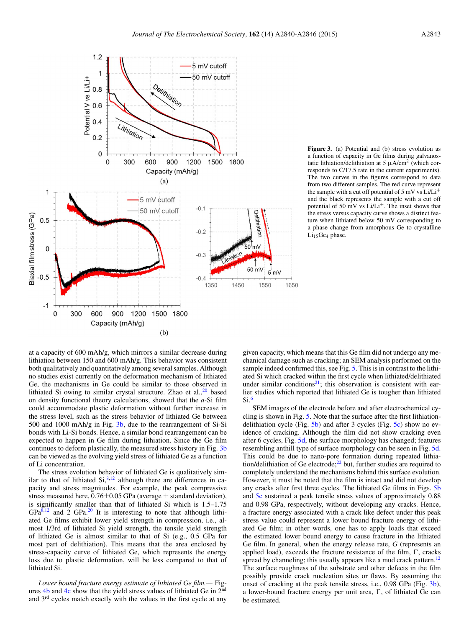<span id="page-3-0"></span>

**Figure 3.** (a) Potential and (b) stress evolution as a function of capacity in Ge films during galvanostatic lithiation/delithiation at 5  $\mu$ A/cm<sup>2</sup> (which corresponds to C/17.5 rate in the current experiments). The two curves in the figures correspond to data from two different samples. The red curve represent the sample with a cut off potential of  $5 \text{ mV}$  vs  $\text{Li/Li}^+$ and the black represents the sample with a cut off potential of 50 mV vs  $Li/Li^{+}$ . The inset shows that the stress versus capacity curve shows a distinct feature when lithiated below 50 mV corresponding to a phase change from amorphous Ge to crystalline  $Li<sub>15</sub>Ge<sub>4</sub> phase.$ 

at a capacity of 600 mAh/g, which mirrors a similar decrease during lithiation between 150 and 600 mAh/g. This behavior was consistent both qualitatively and quantitatively among several samples. Although no studies exist currently on the deformation mechanism of lithiated Ge, the mechanisms in Ge could be similar to those observed in lithiated Si owing to similar crystal structure. Zhao et al.,<sup>[20](#page-6-19)</sup> based on density functional theory calculations, showed that the *a-*Si film could accommodate plastic deformation without further increase in the stress level, such as the stress behavior of lithiated Ge between 500 and 1000 mAh/g in Fig. [3b,](#page-3-0) due to the rearrangement of Si-Si bonds with Li-Si bonds. Hence, a similar bond rearrangement can be expected to happen in Ge film during lithiation. Since the Ge film continues to deform plastically, the measured stress history in Fig. [3b](#page-3-0) can be viewed as the evolving yield stress of lithiated Ge as a function of Li concentration.

The stress evolution behavior of lithiated Ge is qualitatively similar to that of lithiated  $Si$ ,  $8,12$  $8,12$  although there are differences in capacity and stress magnitudes. For example, the peak compressive stress measured here,  $0.76 \pm 0.05$  GPa (average  $\pm$  standard deviation), is significantly smaller than that of lithiated Si which is 1.5–1.75  $GPa<sup>8,12</sup>$  $GPa<sup>8,12</sup>$  $GPa<sup>8,12</sup>$  and 2  $GPa<sup>20</sup>$  $GPa<sup>20</sup>$  $GPa<sup>20</sup>$  It is interesting to note that although lithiated Ge films exhibit lower yield strength in compression, i.e., almost 1/3rd of lithiated Si yield strength, the tensile yield strength of lithiated Ge is almost similar to that of Si (e.g., 0.5 GPa for most part of delithiation). This means that the area enclosed by stress-capacity curve of lithiated Ge, which represents the energy loss due to plastic deformation, will be less compared to that of lithiated Si.

*Lower bound fracture energy estimate of lithiated Ge film.—* Figures [4b](#page-4-0) and [4c](#page-4-0) show that the yield stress values of lithiated Ge in 2nd and 3rd cycles match exactly with the values in the first cycle at any given capacity, which means that this Ge film did not undergo any mechanical damage such as cracking; an SEM analysis performed on the sample indeed confirmed this, see Fig. [5.](#page-4-1) This is in contrast to the lithiated Si which cracked within the first cycle when lithiated/delithiated under similar conditions $21$ ; this observation is consistent with earlier studies which reported that lithiated Ge is tougher than lithiated  $Si.<sup>6</sup>$ 

SEM images of the electrode before and after electrochemical cycling is shown in Fig. [5.](#page-4-1) Note that the surface after the first lithiationdelithiation cycle (Fig.  $5b$ ) and after 3 cycles (Fig.  $5c$ ) show no evidence of cracking. Although the film did not show cracking even after 6 cycles, Fig. [5d,](#page-4-1) the surface morphology has changed; features resembling anthill type of surface morphology can be seen in Fig. [5d.](#page-4-1) This could be due to nano-pore formation during repeated lithiation/delithiation of Ge electrode; $^{22}$  but, further studies are required to completely understand the mechanisms behind this surface evolution. However, it must be noted that the film is intact and did not develop any cracks after first three cycles. The lithiated Ge films in Figs. [5b](#page-4-1) and [5c](#page-4-1) sustained a peak tensile stress values of approximately 0.88 and 0.98 GPa, respectively, without developing any cracks. Hence, a fracture energy associated with a crack like defect under this peak stress value could represent a lower bound fracture energy of lithiated Ge film; in other words, one has to apply loads that exceed the estimated lower bound energy to cause fracture in the lithiated Ge film. In general, when the energy release rate, *G* (represents an applied load), exceeds the fracture resistance of the film,  $\Gamma$ , cracks spread by channeling; this usually appears like a mud crack pattern.<sup>12</sup> The surface roughness of the substrate and other defects in the film possibly provide crack nucleation sites or flaws. By assuming the onset of cracking at the peak tensile stress, i.e., 0.98 GPa (Fig. [3b\)](#page-3-0), a lower-bound fracture energy per unit area,  $\Gamma$ , of lithiated Ge can be estimated.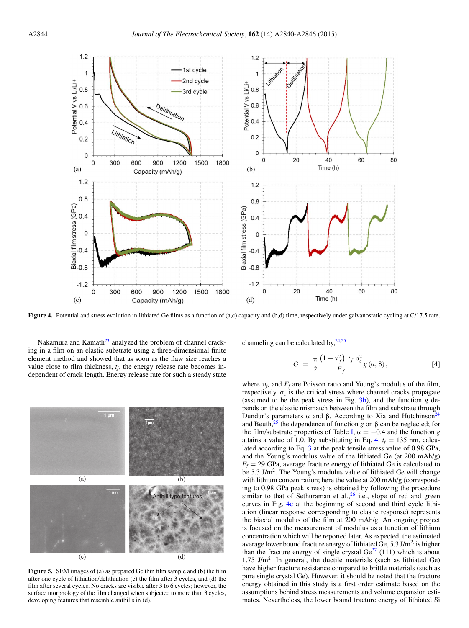<span id="page-4-0"></span>

Figure 4. Potential and stress evolution in lithiated Ge films as a function of (a,c) capacity and (b,d) time, respectively under galvanostatic cycling at C/17.5 rate.

Nakamura and Kamath<sup>23</sup> analyzed the problem of channel cracking in a film on an elastic substrate using a three-dimensional finite element method and showed that as soon as the flaw size reaches a value close to film thickness,  $t_f$ , the energy release rate becomes independent of crack length. Energy release rate for such a steady state

<span id="page-4-1"></span>

**Figure 5.** SEM images of (a) as prepared Ge thin film sample and (b) the film after one cycle of lithiation/delithiation (c) the film after 3 cycles, and (d) the film after several cycles. No cracks are visible after 3 to 6 cycles; however, the surface morphology of the film changed when subjected to more than 3 cycles, developing features that resemble anthills in (d).

channeling can be calculated by,  $24,25$  $24,25$ 

<span id="page-4-2"></span>
$$
G = \frac{\pi}{2} \frac{\left(1 - v_f^2\right) t_f \sigma_c^2}{E_f} g\left(\alpha, \beta\right), \tag{4}
$$

where  $v_f$ , and  $E_f$  are Poisson ratio and Young's modulus of the film, respectively.  $\sigma_c$  is the critical stress where channel cracks propagate (assumed to be the peak stress in Fig. [3b\)](#page-3-0), and the function *g* depends on the elastic mismatch between the film and substrate through Dundur's parameters α and β. According to Xia and Hutchinson<sup>[24](#page-6-23)</sup> and Beuth,<sup>25</sup> the dependence of function *g* on  $\beta$  can be neglected; for the film/substrate properties of Table [I,](#page-5-0)  $\alpha = -0.4$  and the function *g* attains a value of 1.0. By substituting in Eq. [4,](#page-4-2)  $t_f = 135$  nm, calculated according to Eq. [3](#page-2-0) at the peak tensile stress value of 0.98 GPa, and the Young's modulus value of the lithiated Ge (at 200 mAh/g)  $E_f = 29$  GPa, average fracture energy of lithiated Ge is calculated to be 5.3 J/m<sup>2</sup>. The Young's modulus value of lithiated Ge will change with lithium concentration; here the value at 200 mAh/g (corresponding to 0.98 GPa peak stress) is obtained by following the procedure similar to that of Sethuraman et al.,<sup>[26](#page-6-25)</sup> i.e., slope of red and green curves in Fig. [4c](#page-4-0) at the beginning of second and third cycle lithiation (linear response corresponding to elastic response) represents the biaxial modulus of the film at 200 mAh/g. An ongoing project is focused on the measurement of modulus as a function of lithium concentration which will be reported later. As expected, the estimated average lower bound fracture energy of lithiated Ge,  $5.3$  J/m<sup>2,</sup> is higher than the fracture energy of single crystal  $\text{Ge}^{27}$  (111) which is about  $1.75$  J/m<sup>2</sup>. In general, the ductile materials (such as lithiated Ge) have higher fracture resistance compared to brittle materials (such as pure single crystal Ge). However, it should be noted that the fracture energy obtained in this study is a first order estimate based on the assumptions behind stress measurements and volume expansion estimates. Nevertheless, the lower bound fracture energy of lithiated Si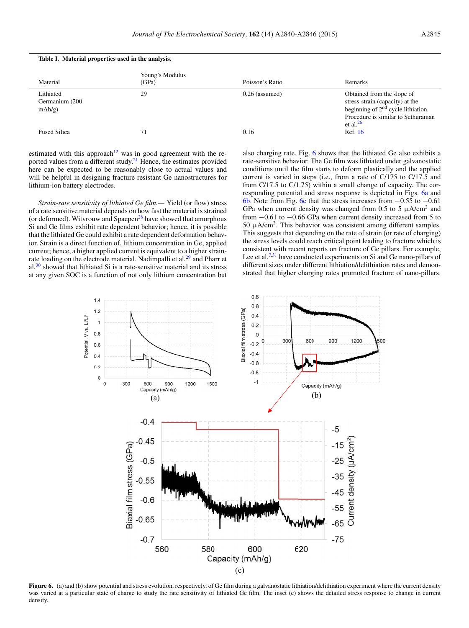| Material                                 | Young's Modulus<br>(GPa) | Poisson's Ratio  | <b>Remarks</b>                                                                                                                                                |
|------------------------------------------|--------------------------|------------------|---------------------------------------------------------------------------------------------------------------------------------------------------------------|
| Lithiated<br>Germanium (200<br>$mAh/g$ ) | 29                       | $0.26$ (assumed) | Obtained from the slope of<br>stress-strain (capacity) at the<br>beginning of $2nd$ cycle lithiation.<br>Procedure is similar to Sethuraman<br>et al. $^{26}$ |
| <b>Fused Silica</b>                      | 71                       | 0.16             | Ref. 16                                                                                                                                                       |

### <span id="page-5-0"></span>**Table I. Material properties used in the analysis.**

estimated with this approach<sup>[12](#page-6-11)</sup> was in good agreement with the reported values from a different study. $2<sup>1</sup>$  Hence, the estimates provided here can be expected to be reasonably close to actual values and will be helpful in designing fracture resistant Ge nanostructures for lithium-ion battery electrodes.

*Strain-rate sensitivity of lithiated Ge film.—* Yield (or flow) stress of a rate sensitive material depends on how fast the material is strained (or deformed). Witvrouw and Spaepen<sup>28</sup> have showed that amorphous Si and Ge films exhibit rate dependent behavior; hence, it is possible that the lithiated Ge could exhibit a rate dependent deformation behavior. Strain is a direct function of, lithium concentration in Ge, applied current; hence, a higher applied current is equivalent to a higher strain-rate loading on the electrode material. Nadimpalli et al.<sup>[29](#page-6-28)</sup> and Pharr et al*.* [30](#page-6-29) showed that lithiated Si is a rate-sensitive material and its stress at any given SOC is a function of not only lithium concentration but also charging rate. Fig. [6](#page-5-1) shows that the lithiated Ge also exhibits a rate-sensitive behavior. The Ge film was lithiated under galvanostatic conditions until the film starts to deform plastically and the applied current is varied in steps (i.e., from a rate of C/175 to C/17.5 and from C/17.5 to C/1.75) within a small change of capacity. The corresponding potential and stress response is depicted in Figs. [6a](#page-5-1) and [6b.](#page-5-1) Note from Fig. [6c](#page-5-1) that the stress increases from −0.55 to −0.61 GPa when current density was changed from 0.5 to 5  $\mu$ A/cm<sup>2</sup> and from −0.61 to −0.66 GPa when current density increased from 5 to 50 μA/cm<sup>2</sup>. This behavior was consistent among different samples. This suggests that depending on the rate of strain (or rate of charging) the stress levels could reach critical point leading to fracture which is consistent with recent reports on fracture of Ge pillars. For example, Lee et al.<sup>[7,](#page-6-6)[31](#page-6-30)</sup> have conducted experiments on Si and Ge nano-pillars of different sizes under different lithiation/delithiation rates and demonstrated that higher charging rates promoted fracture of nano-pillars.

<span id="page-5-1"></span>

**Figure 6.** (a) and (b) show potential and stress evolution, respectively, of Ge film during a galvanostatic lithiation/delithiation experiment where the current density was varied at a particular state of charge to study the rate sensitivity of lithiated Ge film. The inset (c) shows the detailed stress response to change in current density.